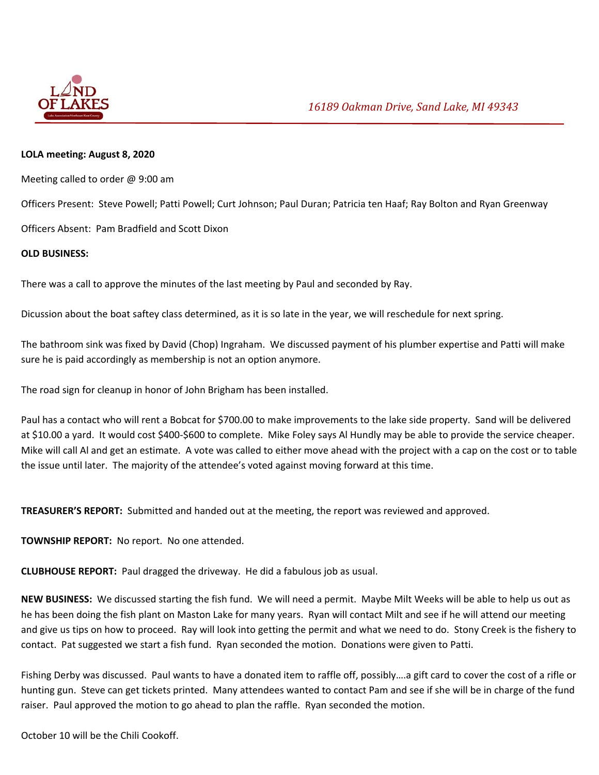

## **LOLA meeting: August 8, 2020**

Meeting called to order @ 9:00 am

Officers Present: Steve Powell; Patti Powell; Curt Johnson; Paul Duran; Patricia ten Haaf; Ray Bolton and Ryan Greenway

Officers Absent: Pam Bradfield and Scott Dixon

## **OLD BUSINESS:**

There was a call to approve the minutes of the last meeting by Paul and seconded by Ray.

Dicussion about the boat saftey class determined, as it is so late in the year, we will reschedule for next spring.

The bathroom sink was fixed by David (Chop) Ingraham. We discussed payment of his plumber expertise and Patti will make sure he is paid accordingly as membership is not an option anymore.

The road sign for cleanup in honor of John Brigham has been installed.

Paul has a contact who will rent a Bobcat for \$700.00 to make improvements to the lake side property. Sand will be delivered at \$10.00 a yard. It would cost \$400‐\$600 to complete. Mike Foley says Al Hundly may be able to provide the service cheaper. Mike will call Al and get an estimate. A vote was called to either move ahead with the project with a cap on the cost or to table the issue until later. The majority of the attendee's voted against moving forward at this time.

**TREASURER'S REPORT:** Submitted and handed out at the meeting, the report was reviewed and approved.

**TOWNSHIP REPORT:** No report. No one attended.

**CLUBHOUSE REPORT:** Paul dragged the driveway. He did a fabulous job as usual.

**NEW BUSINESS:** We discussed starting the fish fund. We will need a permit. Maybe Milt Weeks will be able to help us out as he has been doing the fish plant on Maston Lake for many years. Ryan will contact Milt and see if he will attend our meeting and give us tips on how to proceed. Ray will look into getting the permit and what we need to do. Stony Creek is the fishery to contact. Pat suggested we start a fish fund. Ryan seconded the motion. Donations were given to Patti.

Fishing Derby was discussed. Paul wants to have a donated item to raffle off, possibly….a gift card to cover the cost of a rifle or hunting gun. Steve can get tickets printed. Many attendees wanted to contact Pam and see if she will be in charge of the fund raiser. Paul approved the motion to go ahead to plan the raffle. Ryan seconded the motion.

October 10 will be the Chili Cookoff.